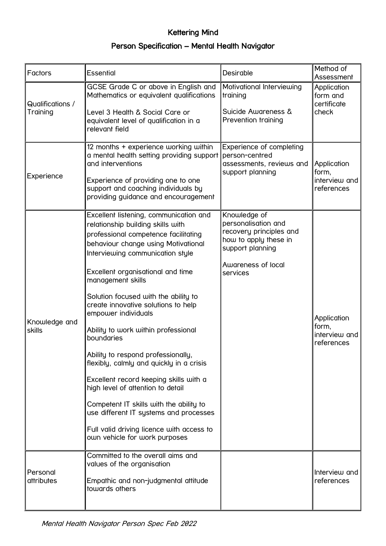## Kettering Mind Person Specification – Mental Health Navigator

| Factors                      | <b>Essential</b>                                                                                                                                                                                                                                                                                                                                                                                                                                                                                                                                                                                                                                                                                                                                        | Desirable                                                                                                                                     | Method of<br>Assessment                             |
|------------------------------|---------------------------------------------------------------------------------------------------------------------------------------------------------------------------------------------------------------------------------------------------------------------------------------------------------------------------------------------------------------------------------------------------------------------------------------------------------------------------------------------------------------------------------------------------------------------------------------------------------------------------------------------------------------------------------------------------------------------------------------------------------|-----------------------------------------------------------------------------------------------------------------------------------------------|-----------------------------------------------------|
| Qualifications /<br>Training | GCSE Grade C or above in English and<br>Mathematics or equivalent qualifications<br>Level 3 Health & Social Care or<br>equivalent level of qualification in a<br>relevant field                                                                                                                                                                                                                                                                                                                                                                                                                                                                                                                                                                         | Motivational Interviewing<br>training<br><b>Suicide Awareness &amp;</b><br>Prevention training                                                | Application<br>form and<br>certificate<br>check     |
| Experience                   | 12 months + experience working within<br>a mental health setting providing support<br>and interventions<br>Experience of providing one to one<br>support and coaching individuals by<br>providing guidance and encouragement                                                                                                                                                                                                                                                                                                                                                                                                                                                                                                                            | Experience of completing<br>person-centred<br>assessments, reviews and<br>support planning                                                    | Application<br>form,<br>interview and<br>references |
| Knowledge and<br>skills      | Excellent listening, communication and<br>relationship building skills with<br>professional competence facilitating<br>behaviour change using Motivational<br>Interviewing communication style<br>Excellent organisational and time<br>management skills<br>Solution focused with the ability to<br>create innovative solutions to help<br>empower individuals<br>Ability to work within professional<br>boundaries<br>Ability to respond professionally,<br>flexibly, calmly and quickly in a crisis<br>Excellent record keeping skills with a<br>high level of attention to detail<br>Competent IT skills with the ability to<br>use different IT systems and processes<br>Full valid driving licence with access to<br>own vehicle for work purposes | Knowledge of<br>personalisation and<br>recovery principles and<br>how to apply these in<br>support planning<br>Awareness of local<br>services | Application<br>form,<br>interview and<br>references |
| Personal<br>attributes       | Committed to the overall aims and<br>values of the organisation<br>Empathic and non-judgmental attitude<br>towards others                                                                                                                                                                                                                                                                                                                                                                                                                                                                                                                                                                                                                               |                                                                                                                                               | Interview and<br>references                         |